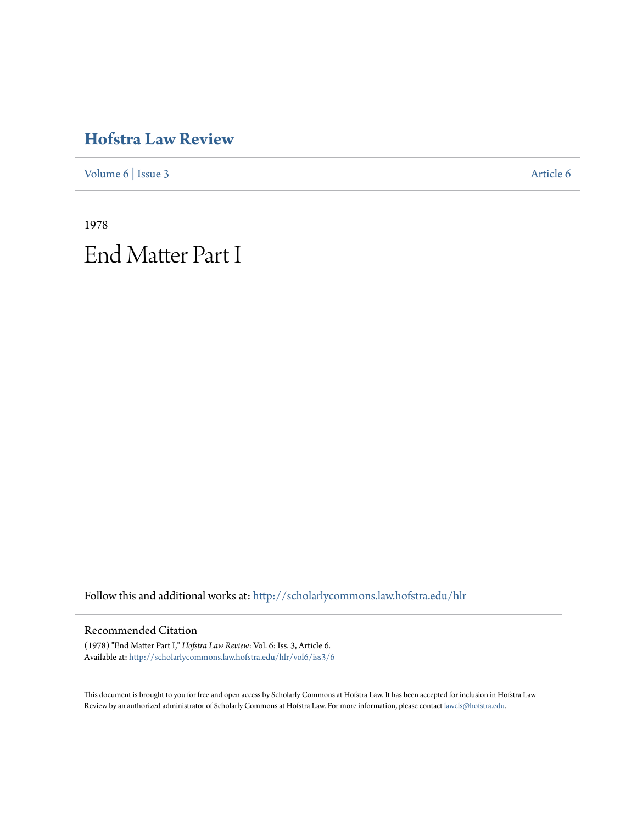## **[Hofstra Law Review](http://scholarlycommons.law.hofstra.edu/hlr?utm_source=scholarlycommons.law.hofstra.edu%2Fhlr%2Fvol6%2Fiss3%2F6&utm_medium=PDF&utm_campaign=PDFCoverPages)**

[Volume 6](http://scholarlycommons.law.hofstra.edu/hlr/vol6?utm_source=scholarlycommons.law.hofstra.edu%2Fhlr%2Fvol6%2Fiss3%2F6&utm_medium=PDF&utm_campaign=PDFCoverPages) | [Issue 3](http://scholarlycommons.law.hofstra.edu/hlr/vol6/iss3?utm_source=scholarlycommons.law.hofstra.edu%2Fhlr%2Fvol6%2Fiss3%2F6&utm_medium=PDF&utm_campaign=PDFCoverPages) [Article 6](http://scholarlycommons.law.hofstra.edu/hlr/vol6/iss3/6?utm_source=scholarlycommons.law.hofstra.edu%2Fhlr%2Fvol6%2Fiss3%2F6&utm_medium=PDF&utm_campaign=PDFCoverPages)

1978 End Matter Part I

Follow this and additional works at: [http://scholarlycommons.law.hofstra.edu/hlr](http://scholarlycommons.law.hofstra.edu/hlr?utm_source=scholarlycommons.law.hofstra.edu%2Fhlr%2Fvol6%2Fiss3%2F6&utm_medium=PDF&utm_campaign=PDFCoverPages)

## Recommended Citation

(1978) "End Matter Part I," *Hofstra Law Review*: Vol. 6: Iss. 3, Article 6. Available at: [http://scholarlycommons.law.hofstra.edu/hlr/vol6/iss3/6](http://scholarlycommons.law.hofstra.edu/hlr/vol6/iss3/6?utm_source=scholarlycommons.law.hofstra.edu%2Fhlr%2Fvol6%2Fiss3%2F6&utm_medium=PDF&utm_campaign=PDFCoverPages)

This document is brought to you for free and open access by Scholarly Commons at Hofstra Law. It has been accepted for inclusion in Hofstra Law Review by an authorized administrator of Scholarly Commons at Hofstra Law. For more information, please contact [lawcls@hofstra.edu](mailto:lawcls@hofstra.edu).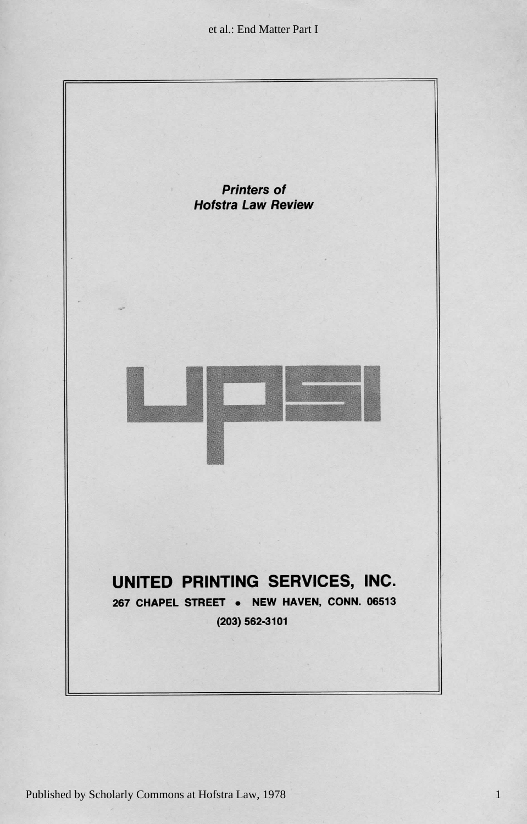